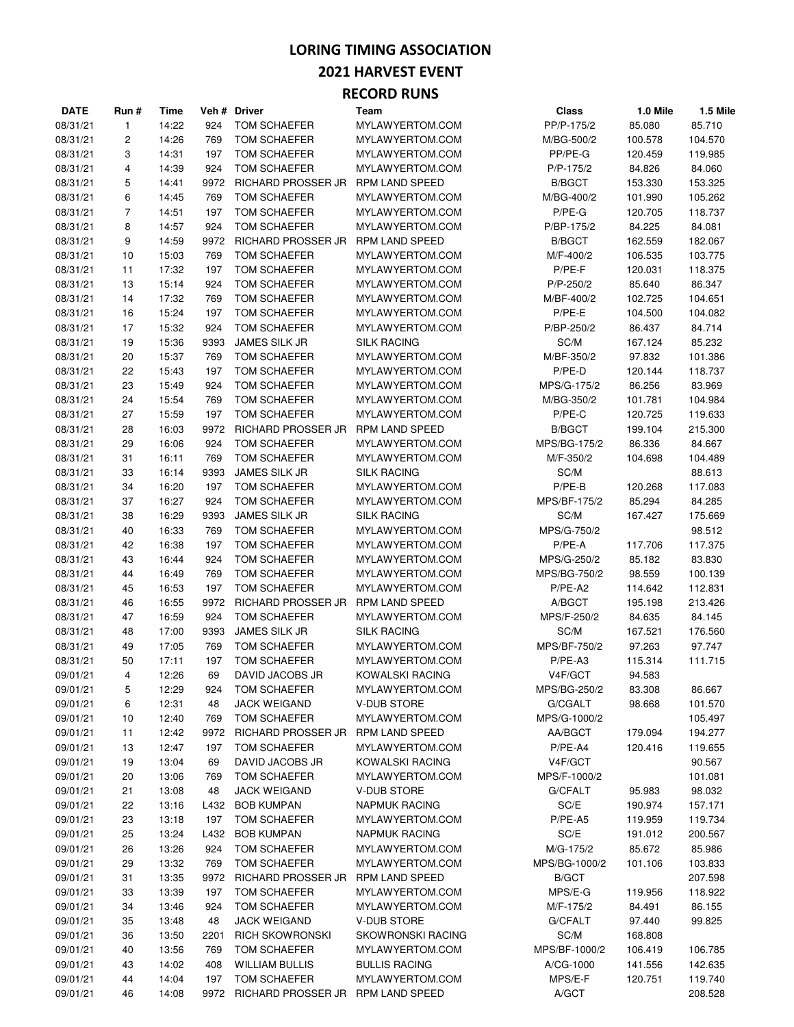#### **LORING TIMING ASSOCIATION**

## **2021 HARVEST EVENT**

### **RECORD RUNS**

| <b>DATE</b>          | Run #          | Time           |      | Veh # Driver                           | Team                     | Class                  | 1.0 Mile | 1.5 Mile          |
|----------------------|----------------|----------------|------|----------------------------------------|--------------------------|------------------------|----------|-------------------|
| 08/31/21             | 1              | 14:22          | 924  | <b>TOM SCHAEFER</b>                    | MYLAWYERTOM.COM          | PP/P-175/2             | 85.080   | 85.710            |
| 08/31/21             | 2              | 14:26          | 769  | TOM SCHAEFER                           | MYLAWYERTOM.COM          | M/BG-500/2             | 100.578  | 104.570           |
| 08/31/21             | 3              | 14:31          | 197  | TOM SCHAEFER                           | MYLAWYERTOM.COM          | PP/PE-G                | 120.459  | 119.985           |
| 08/31/21             | 4              | 14:39          | 924  | TOM SCHAEFER                           | MYLAWYERTOM.COM          | P/P-175/2              | 84.826   | 84.060            |
| 08/31/21             | 5              | 14:41          | 9972 | RICHARD PROSSER JR RPM LAND SPEED      |                          | <b>B/BGCT</b>          | 153.330  | 153.325           |
| 08/31/21             | 6              | 14:45          | 769  | TOM SCHAEFER                           | MYLAWYERTOM.COM          | M/BG-400/2             | 101.990  | 105.262           |
| 08/31/21             | $\overline{7}$ | 14:51          | 197  | TOM SCHAEFER                           | MYLAWYERTOM.COM          | $P/PE-G$               | 120.705  | 118.737           |
| 08/31/21             | 8              | 14:57          | 924  | TOM SCHAEFER                           | MYLAWYERTOM.COM          | P/BP-175/2             | 84.225   | 84.081            |
| 08/31/21             | 9              | 14:59          | 9972 | RICHARD PROSSER JR RPM LAND SPEED      |                          | <b>B/BGCT</b>          | 162.559  | 182.067           |
| 08/31/21             | 10             | 15:03          | 769  | TOM SCHAEFER                           | MYLAWYERTOM.COM          | M/F-400/2              | 106.535  | 103.775           |
| 08/31/21             | 11             | 17:32          | 197  | TOM SCHAEFER                           | MYLAWYERTOM.COM          | $P/PE-F$               | 120.031  | 118.375           |
| 08/31/21             | 13             | 15:14          | 924  | TOM SCHAEFER                           | MYLAWYERTOM.COM          | P/P-250/2              | 85.640   | 86.347            |
| 08/31/21             | 14             | 17:32          | 769  | TOM SCHAEFER                           | MYLAWYERTOM.COM          | M/BF-400/2             | 102.725  | 104.651           |
| 08/31/21             | 16             | 15:24          | 197  | TOM SCHAEFER                           | MYLAWYERTOM.COM          | $P/PE-E$               | 104.500  | 104.082           |
| 08/31/21             | 17             | 15:32          | 924  | TOM SCHAEFER                           | MYLAWYERTOM.COM          | P/BP-250/2             | 86.437   | 84.714            |
| 08/31/21             | 19             | 15:36          | 9393 | JAMES SILK JR                          | <b>SILK RACING</b>       | SC/M                   | 167.124  | 85.232            |
| 08/31/21             | 20             | 15:37          | 769  | TOM SCHAEFER                           | MYLAWYERTOM.COM          | M/BF-350/2             | 97.832   | 101.386           |
| 08/31/21             | 22             | 15:43          | 197  | TOM SCHAEFER                           | MYLAWYERTOM.COM          | $P/PE-D$               | 120.144  | 118.737           |
| 08/31/21             | 23             | 15:49          | 924  | <b>TOM SCHAEFER</b>                    | MYLAWYERTOM.COM          | MPS/G-175/2            | 86.256   | 83.969            |
| 08/31/21             | 24             | 15:54          | 769  | TOM SCHAEFER                           | MYLAWYERTOM.COM          | M/BG-350/2             | 101.781  | 104.984           |
| 08/31/21             | 27             | 15:59          | 197  | TOM SCHAEFER                           | MYLAWYERTOM.COM          | P/PE-C                 | 120.725  | 119.633           |
| 08/31/21             | 28             | 16:03          | 9972 | RICHARD PROSSER JR RPM LAND SPEED      |                          | <b>B/BGCT</b>          | 199.104  | 215.300           |
| 08/31/21             | 29             | 16:06          | 924  | <b>TOM SCHAEFER</b>                    | MYLAWYERTOM.COM          | MPS/BG-175/2           | 86.336   | 84.667            |
| 08/31/21             | 31             | 16:11          | 769  | <b>TOM SCHAEFER</b>                    | MYLAWYERTOM.COM          | M/F-350/2              | 104.698  | 104.489           |
| 08/31/21             | 33             | 16:14          | 9393 | JAMES SILK JR                          | <b>SILK RACING</b>       | SC/M                   |          | 88.613            |
| 08/31/21             | 34             | 16:20          | 197  | TOM SCHAEFER                           | MYLAWYERTOM.COM          | $P/PE-B$               | 120.268  | 117.083           |
| 08/31/21             | 37             | 16:27          | 924  | TOM SCHAEFER                           | MYLAWYERTOM.COM          | MPS/BF-175/2           | 85.294   | 84.285            |
| 08/31/21             | 38             | 16:29          | 9393 | JAMES SILK JR                          | <b>SILK RACING</b>       | SC/M                   | 167.427  | 175.669           |
| 08/31/21             | 40             | 16:33          | 769  | TOM SCHAEFER                           | MYLAWYERTOM.COM          | MPS/G-750/2            |          | 98.512            |
| 08/31/21             | 42             | 16:38          | 197  | TOM SCHAEFER                           | MYLAWYERTOM.COM          | $P/PE-A$               | 117.706  | 117.375           |
| 08/31/21             | 43             | 16:44          | 924  | TOM SCHAEFER                           | MYLAWYERTOM.COM          | MPS/G-250/2            | 85.182   | 83.830            |
| 08/31/21             | 44             | 16:49          | 769  | TOM SCHAEFER                           | MYLAWYERTOM.COM          | MPS/BG-750/2           | 98.559   | 100.139           |
| 08/31/21             | 45             | 16:53          | 197  | <b>TOM SCHAEFER</b>                    | MYLAWYERTOM.COM          | $P/PE- A2$             | 114.642  | 112.831           |
| 08/31/21             | 46             | 16:55          | 9972 | RICHARD PROSSER JR RPM LAND SPEED      |                          | A/BGCT                 | 195.198  | 213.426           |
| 08/31/21             | 47             | 16:59          | 924  | TOM SCHAEFER                           | MYLAWYERTOM.COM          | MPS/F-250/2            | 84.635   | 84.145            |
| 08/31/21             | 48             | 17:00          | 9393 | JAMES SILK JR                          | <b>SILK RACING</b>       | SC/M                   | 167.521  | 176.560           |
| 08/31/21             | 49             | 17:05          | 769  | TOM SCHAEFER                           | MYLAWYERTOM.COM          | MPS/BF-750/2           | 97.263   | 97.747            |
| 08/31/21             | 50             | 17:11          | 197  | TOM SCHAEFER                           | MYLAWYERTOM.COM          | $P/PE- A3$             | 115.314  | 111.715           |
| 09/01/21             | $\overline{4}$ | 12:26          | 69   | <b>DAVID JACOBS JR</b>                 | KOWALSKI RACING          | V4F/GCT                | 94.583   |                   |
| 09/01/21             | 5              | 12:29          | 924  | TOM SCHAEFER                           | MYLAWYERTOM.COM          | MPS/BG-250/2           | 83.308   | 86.667            |
| 09/01/21             | 6              | 12:31          | 48   | <b>JACK WEIGAND</b>                    | <b>V-DUB STORE</b>       | G/CGALT                | 98.668   | 101.570           |
| 09/01/21             | 10             | 12:40          | 769  | TOM SCHAEFER                           | MYLAWYERTOM.COM          | MPS/G-1000/2           |          | 105.497           |
| 09/01/21             | 11             | 12:42          | 9972 | RICHARD PROSSER JR RPM LAND SPEED      |                          | AA/BGCT                | 179.094  | 194.277           |
| 09/01/21             |                | 12:47          | 197  | TOM SCHAEFER                           | MYLAWYERTOM.COM          | $P/PE-AA$              |          |                   |
| 09/01/21             | 13<br>19       | 13:04          | 69   | DAVID JACOBS JR                        | KOWALSKI RACING          | V4F/GCT                | 120.416  | 119.655<br>90.567 |
| 09/01/21             | 20             | 13:06          | 769  | TOM SCHAEFER                           | MYLAWYERTOM.COM          | MPS/F-1000/2           |          | 101.081           |
| 09/01/21             | 21             | 13:08          | 48   | <b>JACK WEIGAND</b>                    | V-DUB STORE              | G/CFALT                | 95.983   | 98.032            |
| 09/01/21             |                |                | L432 | <b>BOB KUMPAN</b>                      | <b>NAPMUK RACING</b>     | SC/E                   |          |                   |
| 09/01/21             | 22             | 13:16<br>13:18 | 197  |                                        | MYLAWYERTOM.COM          |                        | 190.974  | 157.171           |
|                      | 23             | 13:24          | L432 | TOM SCHAEFER<br><b>BOB KUMPAN</b>      |                          | P/PE-A5<br>SC/E        | 119.959  | 119.734           |
| 09/01/21<br>09/01/21 | 25             |                |      |                                        | <b>NAPMUK RACING</b>     |                        | 191.012  | 200.567           |
|                      | 26             | 13:26          | 924  | TOM SCHAEFER                           | MYLAWYERTOM.COM          | M/G-175/2              | 85.672   | 85.986            |
| 09/01/21             | 29             | 13:32          | 769  | TOM SCHAEFER                           | MYLAWYERTOM.COM          | MPS/BG-1000/2<br>B/GCT | 101.106  | 103.833           |
| 09/01/21             | 31             | 13:35          | 9972 | RICHARD PROSSER JR RPM LAND SPEED      |                          |                        |          | 207.598           |
| 09/01/21             | 33             | 13:39          | 197  | TOM SCHAEFER                           | MYLAWYERTOM.COM          | MPS/E-G                | 119.956  | 118.922           |
| 09/01/21             | 34             | 13:46          | 924  | TOM SCHAEFER                           | MYLAWYERTOM.COM          | M/F-175/2              | 84.491   | 86.155            |
| 09/01/21             | 35             | 13:48          | 48   | <b>JACK WEIGAND</b>                    | V-DUB STORE              | G/CFALT                | 97.440   | 99.825            |
| 09/01/21             | 36             | 13:50          | 2201 | RICH SKOWRONSKI                        | <b>SKOWRONSKI RACING</b> | SC/M                   | 168.808  |                   |
| 09/01/21             | 40             | 13:56          | 769  | <b>TOM SCHAEFER</b>                    | MYLAWYERTOM.COM          | MPS/BF-1000/2          | 106.419  | 106.785           |
| 09/01/21             | 43             | 14:02          | 408  | <b>WILLIAM BULLIS</b>                  | <b>BULLIS RACING</b>     | A/CG-1000              | 141.556  | 142.635           |
| 09/01/21             | 44             | 14:04          | 197  | TOM SCHAEFER                           | MYLAWYERTOM.COM          | MPS/E-F                | 120.751  | 119.740           |
| 09/01/21             | 46             | 14:08          |      | 9972 RICHARD PROSSER JR RPM LAND SPEED |                          | A/GCT                  |          | 208.528           |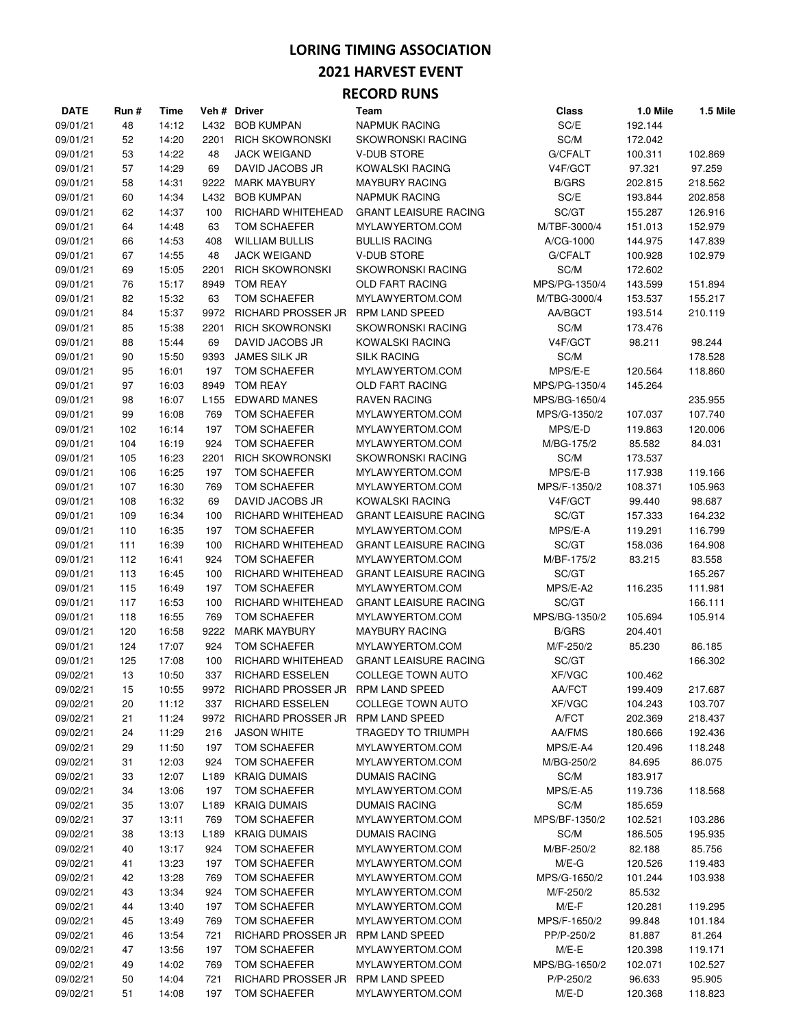#### **LORING TIMING ASSOCIATION**

### **2021 HARVEST EVENT**

### **RECORD RUNS**

| <b>DATE</b> | Run # | Time  |                  | Veh # Driver                      | Team                                     | <b>Class</b>             | 1.0 Mile | 1.5 Mile          |
|-------------|-------|-------|------------------|-----------------------------------|------------------------------------------|--------------------------|----------|-------------------|
| 09/01/21    | 48    | 14:12 | L432             | <b>BOB KUMPAN</b>                 | <b>NAPMUK RACING</b>                     | $\mathsf{SC}/\mathsf{E}$ | 192.144  |                   |
| 09/01/21    | 52    | 14:20 | 2201             | <b>RICH SKOWRONSKI</b>            | <b>SKOWRONSKI RACING</b>                 | SC/M                     | 172.042  |                   |
| 09/01/21    | 53    | 14:22 | 48               | <b>JACK WEIGAND</b>               | <b>V-DUB STORE</b>                       | G/CFALT                  | 100.311  | 102.869           |
| 09/01/21    | 57    | 14:29 | 69               | DAVID JACOBS JR                   | KOWALSKI RACING                          | V4F/GCT                  | 97.321   | 97.259            |
| 09/01/21    | 58    | 14:31 | 9222             | <b>MARK MAYBURY</b>               | <b>MAYBURY RACING</b>                    | <b>B/GRS</b>             | 202.815  | 218.562           |
| 09/01/21    | 60    | 14:34 | L432             | <b>BOB KUMPAN</b>                 | <b>NAPMUK RACING</b>                     | SC/E                     | 193.844  | 202.858           |
| 09/01/21    | 62    | 14:37 | 100              | RICHARD WHITEHEAD                 | <b>GRANT LEAISURE RACING</b>             | SC/GT                    | 155.287  | 126.916           |
| 09/01/21    | 64    | 14:48 | 63               | <b>TOM SCHAEFER</b>               | MYLAWYERTOM.COM                          | M/TBF-3000/4             | 151.013  | 152.979           |
| 09/01/21    | 66    | 14:53 | 408              | <b>WILLIAM BULLIS</b>             | <b>BULLIS RACING</b>                     | A/CG-1000                | 144.975  | 147.839           |
| 09/01/21    | 67    | 14:55 | 48               | <b>JACK WEIGAND</b>               | <b>V-DUB STORE</b>                       | G/CFALT                  | 100.928  | 102.979           |
| 09/01/21    | 69    | 15:05 | 2201             | <b>RICH SKOWRONSKI</b>            | <b>SKOWRONSKI RACING</b>                 | SC/M                     | 172.602  |                   |
| 09/01/21    | 76    | 15:17 | 8949             | <b>TOM REAY</b>                   | OLD FART RACING                          | MPS/PG-1350/4            | 143.599  | 151.894           |
| 09/01/21    | 82    | 15:32 | 63               | TOM SCHAEFER                      | MYLAWYERTOM.COM                          | M/TBG-3000/4             | 153.537  | 155.217           |
| 09/01/21    | 84    | 15:37 | 9972             | RICHARD PROSSER JR RPM LAND SPEED |                                          | AA/BGCT                  | 193.514  | 210.119           |
| 09/01/21    | 85    | 15:38 | 2201             | <b>RICH SKOWRONSKI</b>            | <b>SKOWRONSKI RACING</b>                 | SC/M                     | 173.476  |                   |
| 09/01/21    | 88    | 15:44 | 69               | DAVID JACOBS JR                   | KOWALSKI RACING                          | V4F/GCT                  | 98.211   | 98.244            |
| 09/01/21    | 90    | 15:50 | 9393             | JAMES SILK JR                     | <b>SILK RACING</b>                       | SC/M                     |          | 178.528           |
| 09/01/21    | 95    | 16:01 | 197              | TOM SCHAEFER                      | MYLAWYERTOM.COM                          | MPS/E-E                  | 120.564  | 118.860           |
| 09/01/21    | 97    | 16:03 | 8949             | <b>TOM REAY</b>                   | OLD FART RACING                          | MPS/PG-1350/4            | 145.264  |                   |
| 09/01/21    | 98    | 16:07 | L <sub>155</sub> | <b>EDWARD MANES</b>               | <b>RAVEN RACING</b>                      | MPS/BG-1650/4            |          | 235.955           |
| 09/01/21    | 99    | 16:08 | 769              | TOM SCHAEFER                      | MYLAWYERTOM.COM                          | MPS/G-1350/2             | 107.037  | 107.740           |
| 09/01/21    | 102   | 16:14 | 197              | <b>TOM SCHAEFER</b>               | MYLAWYERTOM.COM                          | MPS/E-D                  | 119.863  | 120.006           |
| 09/01/21    | 104   | 16:19 | 924              | TOM SCHAEFER                      | MYLAWYERTOM.COM                          | M/BG-175/2               | 85.582   | 84.031            |
| 09/01/21    | 105   | 16:23 | 2201             | <b>RICH SKOWRONSKI</b>            | <b>SKOWRONSKI RACING</b>                 | SC/M                     | 173.537  |                   |
| 09/01/21    | 106   | 16:25 | 197              | TOM SCHAEFER                      | MYLAWYERTOM.COM                          | MPS/E-B                  | 117.938  | 119.166           |
| 09/01/21    | 107   | 16:30 | 769              | TOM SCHAEFER                      | MYLAWYERTOM.COM                          | MPS/F-1350/2             | 108.371  | 105.963           |
| 09/01/21    | 108   | 16:32 | 69               | DAVID JACOBS JR                   | KOWALSKI RACING                          | V4F/GCT                  | 99.440   | 98.687            |
| 09/01/21    | 109   | 16:34 | 100              | RICHARD WHITEHEAD                 | <b>GRANT LEAISURE RACING</b>             | SC/GT                    | 157.333  | 164.232           |
| 09/01/21    | 110   | 16:35 | 197              | <b>TOM SCHAEFER</b>               | MYLAWYERTOM.COM                          | MPS/E-A                  | 119.291  | 116.799           |
|             |       | 16:39 | 100              | RICHARD WHITEHEAD                 | <b>GRANT LEAISURE RACING</b>             | SC/GT                    |          |                   |
| 09/01/21    | 111   | 16:41 | 924              | <b>TOM SCHAEFER</b>               | MYLAWYERTOM.COM                          | M/BF-175/2               | 158.036  | 164.908<br>83.558 |
| 09/01/21    | 112   |       |                  |                                   |                                          |                          | 83.215   |                   |
| 09/01/21    | 113   | 16:45 | 100              | RICHARD WHITEHEAD                 | <b>GRANT LEAISURE RACING</b>             | SC/GT                    |          | 165.267           |
| 09/01/21    | 115   | 16:49 | 197              | TOM SCHAEFER                      | MYLAWYERTOM.COM                          | MPS/E-A2                 | 116.235  | 111.981           |
| 09/01/21    | 117   | 16:53 | 100              | RICHARD WHITEHEAD                 | <b>GRANT LEAISURE RACING</b>             | SC/GT                    |          | 166.111           |
| 09/01/21    | 118   | 16:55 | 769              | TOM SCHAEFER                      | MYLAWYERTOM.COM<br><b>MAYBURY RACING</b> | MPS/BG-1350/2            | 105.694  | 105.914           |
| 09/01/21    | 120   | 16:58 | 9222             | <b>MARK MAYBURY</b>               |                                          | <b>B/GRS</b>             | 204.401  |                   |
| 09/01/21    | 124   | 17:07 | 924              | <b>TOM SCHAEFER</b>               | MYLAWYERTOM.COM                          | M/F-250/2                | 85.230   | 86.185            |
| 09/01/21    | 125   | 17:08 | 100              | RICHARD WHITEHEAD                 | <b>GRANT LEAISURE RACING</b>             | SC/GT                    |          | 166.302           |
| 09/02/21    | 13    | 10:50 | 337              | <b>RICHARD ESSELEN</b>            | <b>COLLEGE TOWN AUTO</b>                 | XF/VGC                   | 100.462  |                   |
| 09/02/21    | 15    | 10:55 | 9972             | RICHARD PROSSER JR RPM LAND SPEED |                                          | AA/FCT                   | 199.409  | 217.687           |
| 09/02/21    | 20    | 11:12 | 337              | RICHARD ESSELEN                   | <b>COLLEGE TOWN AUTO</b>                 | XF/VGC                   | 104.243  | 103.707           |
| 09/02/21    | 21    | 11:24 | 9972             | RICHARD PROSSER JR RPM LAND SPEED |                                          | A/FCT                    | 202.369  | 218.437           |
| 09/02/21    | 24    | 11:29 | 216              | <b>JASON WHITE</b>                | TRAGEDY TO TRIUMPH                       | AA/FMS                   | 180.666  | 192.436           |
| 09/02/21    | 29    | 11:50 | 197              | <b>TOM SCHAEFER</b>               | MYLAWYERTOM.COM                          | MPS/E-A4                 | 120.496  | 118.248           |
| 09/02/21    | 31    | 12:03 | 924              | TOM SCHAEFER                      | MYLAWYERTOM.COM                          | M/BG-250/2               | 84.695   | 86.075            |
| 09/02/21    | 33    | 12:07 | L189             | <b>KRAIG DUMAIS</b>               | <b>DUMAIS RACING</b>                     | SC/M                     | 183.917  |                   |
| 09/02/21    | 34    | 13:06 | 197              | TOM SCHAEFER                      | MYLAWYERTOM.COM                          | MPS/E-A5                 | 119.736  | 118.568           |
| 09/02/21    | 35    | 13:07 | L189             | <b>KRAIG DUMAIS</b>               | <b>DUMAIS RACING</b>                     | SC/M                     | 185.659  |                   |
| 09/02/21    | 37    | 13:11 | 769              | TOM SCHAEFER                      | MYLAWYERTOM.COM                          | MPS/BF-1350/2            | 102.521  | 103.286           |
| 09/02/21    | 38    | 13:13 | L189             | <b>KRAIG DUMAIS</b>               | <b>DUMAIS RACING</b>                     | SC/M                     | 186.505  | 195.935           |
| 09/02/21    | 40    | 13:17 | 924              | <b>TOM SCHAEFER</b>               | MYLAWYERTOM.COM                          | M/BF-250/2               | 82.188   | 85.756            |
| 09/02/21    | 41    | 13:23 | 197              | TOM SCHAEFER                      | MYLAWYERTOM.COM                          | M/E-G                    | 120.526  | 119.483           |
| 09/02/21    | 42    | 13:28 | 769              | <b>TOM SCHAEFER</b>               | MYLAWYERTOM.COM                          | MPS/G-1650/2             | 101.244  | 103.938           |
| 09/02/21    | 43    | 13:34 | 924              | <b>TOM SCHAEFER</b>               | MYLAWYERTOM.COM                          | M/F-250/2                | 85.532   |                   |
| 09/02/21    | 44    | 13:40 | 197              | <b>TOM SCHAEFER</b>               | MYLAWYERTOM.COM                          | M/E-F                    | 120.281  | 119.295           |
| 09/02/21    | 45    | 13:49 | 769              | TOM SCHAEFER                      | MYLAWYERTOM.COM                          | MPS/F-1650/2             | 99.848   | 101.184           |
| 09/02/21    | 46    | 13:54 | 721              | RICHARD PROSSER JR RPM LAND SPEED |                                          | PP/P-250/2               | 81.887   | 81.264            |
| 09/02/21    | 47    | 13:56 | 197              | TOM SCHAEFER                      | MYLAWYERTOM.COM                          | $M/E-E$                  | 120.398  | 119.171           |
| 09/02/21    | 49    | 14:02 | 769              | TOM SCHAEFER                      | MYLAWYERTOM.COM                          | MPS/BG-1650/2            | 102.071  | 102.527           |
| 09/02/21    | 50    | 14:04 | 721              | RICHARD PROSSER JR RPM LAND SPEED |                                          | P/P-250/2                | 96.633   | 95.905            |
| 09/02/21    | 51    | 14:08 | 197              | TOM SCHAEFER                      | MYLAWYERTOM.COM                          | M/E-D                    | 120.368  | 118.823           |